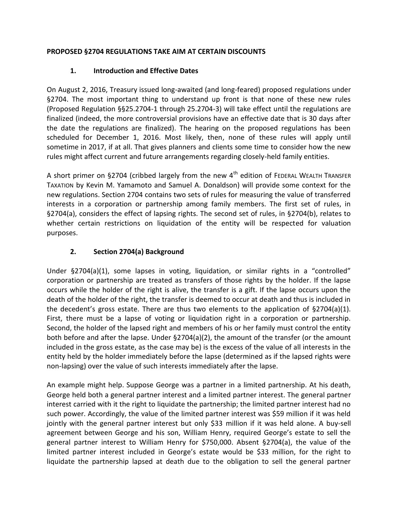#### **PROPOSED §2704 REGULATIONS TAKE AIM AT CERTAIN DISCOUNTS**

### **1. Introduction and Effective Dates**

On August 2, 2016, Treasury issued long-awaited (and long-feared) proposed regulations under §2704. The most important thing to understand up front is that none of these new rules (Proposed Regulation §§25.2704-1 through 25.2704-3) will take effect until the regulations are finalized (indeed, the more controversial provisions have an effective date that is 30 days after the date the regulations are finalized). The hearing on the proposed regulations has been scheduled for December 1, 2016. Most likely, then, none of these rules will apply until sometime in 2017, if at all. That gives planners and clients some time to consider how the new rules might affect current and future arrangements regarding closely-held family entities.

A short primer on §2704 (cribbed largely from the new 4<sup>th</sup> edition of FEDERAL WEALTH TRANSFER TAXATION by Kevin M. Yamamoto and Samuel A. Donaldson) will provide some context for the new regulations. Section 2704 contains two sets of rules for measuring the value of transferred interests in a corporation or partnership among family members. The first set of rules, in §2704(a), considers the effect of lapsing rights. The second set of rules, in §2704(b), relates to whether certain restrictions on liquidation of the entity will be respected for valuation purposes.

### **2. Section 2704(a) Background**

Under §2704(a)(1), some lapses in voting, liquidation, or similar rights in a "controlled" corporation or partnership are treated as transfers of those rights by the holder. If the lapse occurs while the holder of the right is alive, the transfer is a gift. If the lapse occurs upon the death of the holder of the right, the transfer is deemed to occur at death and thus is included in the decedent's gross estate. There are thus two elements to the application of  $\S 2704(a)(1)$ . First, there must be a lapse of voting or liquidation right in a corporation or partnership. Second, the holder of the lapsed right and members of his or her family must control the entity both before and after the lapse. Under §2704(a)(2), the amount of the transfer (or the amount included in the gross estate, as the case may be) is the excess of the value of all interests in the entity held by the holder immediately before the lapse (determined as if the lapsed rights were non-lapsing) over the value of such interests immediately after the lapse.

An example might help. Suppose George was a partner in a limited partnership. At his death, George held both a general partner interest and a limited partner interest. The general partner interest carried with it the right to liquidate the partnership; the limited partner interest had no such power. Accordingly, the value of the limited partner interest was \$59 million if it was held jointly with the general partner interest but only \$33 million if it was held alone. A buy-sell agreement between George and his son, William Henry, required George's estate to sell the general partner interest to William Henry for \$750,000. Absent §2704(a), the value of the limited partner interest included in George's estate would be \$33 million, for the right to liquidate the partnership lapsed at death due to the obligation to sell the general partner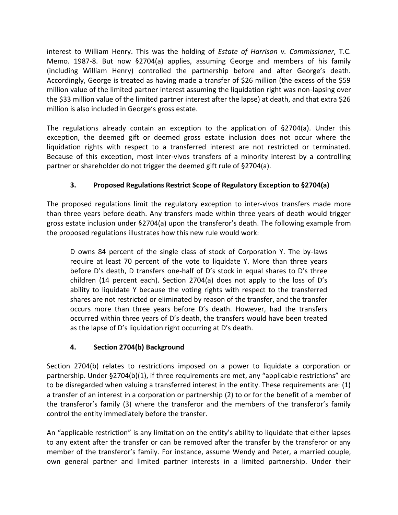interest to William Henry. This was the holding of *Estate of Harrison v. Commissioner*, T.C. Memo. 1987-8. But now §2704(a) applies, assuming George and members of his family (including William Henry) controlled the partnership before and after George's death. Accordingly, George is treated as having made a transfer of \$26 million (the excess of the \$59 million value of the limited partner interest assuming the liquidation right was non-lapsing over the \$33 million value of the limited partner interest after the lapse) at death, and that extra \$26 million is also included in George's gross estate.

The regulations already contain an exception to the application of §2704(a). Under this exception, the deemed gift or deemed gross estate inclusion does not occur where the liquidation rights with respect to a transferred interest are not restricted or terminated. Because of this exception, most inter-vivos transfers of a minority interest by a controlling partner or shareholder do not trigger the deemed gift rule of §2704(a).

# **3. Proposed Regulations Restrict Scope of Regulatory Exception to §2704(a)**

The proposed regulations limit the regulatory exception to inter-vivos transfers made more than three years before death. Any transfers made within three years of death would trigger gross estate inclusion under §2704(a) upon the transferor's death. The following example from the proposed regulations illustrates how this new rule would work:

D owns 84 percent of the single class of stock of Corporation Y. The by-laws require at least 70 percent of the vote to liquidate Y. More than three years before D's death, D transfers one-half of D's stock in equal shares to D's three children (14 percent each). Section 2704(a) does not apply to the loss of D's ability to liquidate Y because the voting rights with respect to the transferred shares are not restricted or eliminated by reason of the transfer, and the transfer occurs more than three years before D's death. However, had the transfers occurred within three years of D's death, the transfers would have been treated as the lapse of D's liquidation right occurring at D's death.

## **4. Section 2704(b) Background**

Section 2704(b) relates to restrictions imposed on a power to liquidate a corporation or partnership. Under §2704(b)(1), if three requirements are met, any "applicable restrictions" are to be disregarded when valuing a transferred interest in the entity. These requirements are: (1) a transfer of an interest in a corporation or partnership (2) to or for the benefit of a member of the transferor's family (3) where the transferor and the members of the transferor's family control the entity immediately before the transfer.

An "applicable restriction" is any limitation on the entity's ability to liquidate that either lapses to any extent after the transfer or can be removed after the transfer by the transferor or any member of the transferor's family. For instance, assume Wendy and Peter, a married couple, own general partner and limited partner interests in a limited partnership. Under their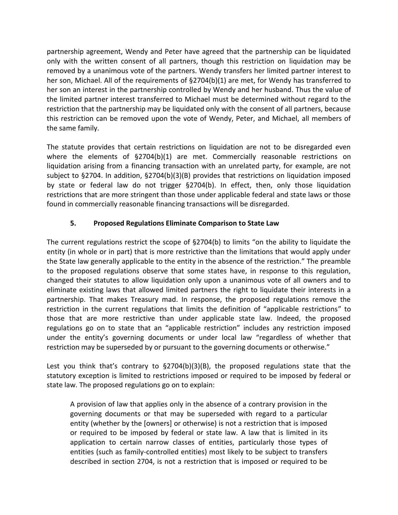partnership agreement, Wendy and Peter have agreed that the partnership can be liquidated only with the written consent of all partners, though this restriction on liquidation may be removed by a unanimous vote of the partners. Wendy transfers her limited partner interest to her son, Michael. All of the requirements of §2704(b)(1) are met, for Wendy has transferred to her son an interest in the partnership controlled by Wendy and her husband. Thus the value of the limited partner interest transferred to Michael must be determined without regard to the restriction that the partnership may be liquidated only with the consent of all partners, because this restriction can be removed upon the vote of Wendy, Peter, and Michael, all members of the same family.

The statute provides that certain restrictions on liquidation are not to be disregarded even where the elements of  $\S2704(b)(1)$  are met. Commercially reasonable restrictions on liquidation arising from a financing transaction with an unrelated party, for example, are not subject to §2704. In addition, §2704(b)(3)(B) provides that restrictions on liquidation imposed by state or federal law do not trigger §2704(b). In effect, then, only those liquidation restrictions that are more stringent than those under applicable federal and state laws or those found in commercially reasonable financing transactions will be disregarded.

### **5. Proposed Regulations Eliminate Comparison to State Law**

The current regulations restrict the scope of §2704(b) to limits "on the ability to liquidate the entity (in whole or in part) that is more restrictive than the limitations that would apply under the State law generally applicable to the entity in the absence of the restriction." The preamble to the proposed regulations observe that some states have, in response to this regulation, changed their statutes to allow liquidation only upon a unanimous vote of all owners and to eliminate existing laws that allowed limited partners the right to liquidate their interests in a partnership. That makes Treasury mad. In response, the proposed regulations remove the restriction in the current regulations that limits the definition of "applicable restrictions" to those that are more restrictive than under applicable state law. Indeed, the proposed regulations go on to state that an "applicable restriction" includes any restriction imposed under the entity's governing documents or under local law "regardless of whether that restriction may be superseded by or pursuant to the governing documents or otherwise."

Lest you think that's contrary to §2704(b)(3)(B), the proposed regulations state that the statutory exception is limited to restrictions imposed or required to be imposed by federal or state law. The proposed regulations go on to explain:

A provision of law that applies only in the absence of a contrary provision in the governing documents or that may be superseded with regard to a particular entity (whether by the [owners] or otherwise) is not a restriction that is imposed or required to be imposed by federal or state law. A law that is limited in its application to certain narrow classes of entities, particularly those types of entities (such as family-controlled entities) most likely to be subject to transfers described in section 2704, is not a restriction that is imposed or required to be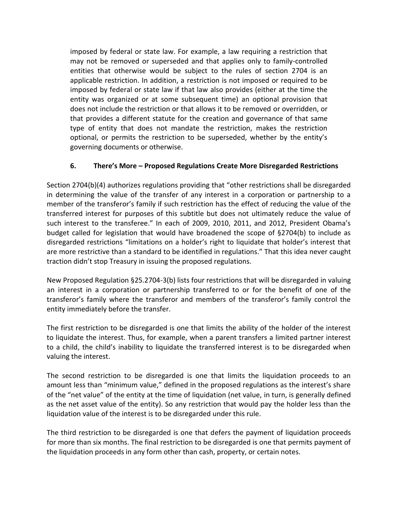imposed by federal or state law. For example, a law requiring a restriction that may not be removed or superseded and that applies only to family-controlled entities that otherwise would be subject to the rules of section 2704 is an applicable restriction. In addition, a restriction is not imposed or required to be imposed by federal or state law if that law also provides (either at the time the entity was organized or at some subsequent time) an optional provision that does not include the restriction or that allows it to be removed or overridden, or that provides a different statute for the creation and governance of that same type of entity that does not mandate the restriction, makes the restriction optional, or permits the restriction to be superseded, whether by the entity's governing documents or otherwise.

#### **6. There's More – Proposed Regulations Create More Disregarded Restrictions**

Section 2704(b)(4) authorizes regulations providing that "other restrictions shall be disregarded in determining the value of the transfer of any interest in a corporation or partnership to a member of the transferor's family if such restriction has the effect of reducing the value of the transferred interest for purposes of this subtitle but does not ultimately reduce the value of such interest to the transferee." In each of 2009, 2010, 2011, and 2012, President Obama's budget called for legislation that would have broadened the scope of §2704(b) to include as disregarded restrictions "limitations on a holder's right to liquidate that holder's interest that are more restrictive than a standard to be identified in regulations." That this idea never caught traction didn't stop Treasury in issuing the proposed regulations.

New Proposed Regulation §25.2704-3(b) lists four restrictions that will be disregarded in valuing an interest in a corporation or partnership transferred to or for the benefit of one of the transferor's family where the transferor and members of the transferor's family control the entity immediately before the transfer.

The first restriction to be disregarded is one that limits the ability of the holder of the interest to liquidate the interest. Thus, for example, when a parent transfers a limited partner interest to a child, the child's inability to liquidate the transferred interest is to be disregarded when valuing the interest.

The second restriction to be disregarded is one that limits the liquidation proceeds to an amount less than "minimum value," defined in the proposed regulations as the interest's share of the "net value" of the entity at the time of liquidation (net value, in turn, is generally defined as the net asset value of the entity). So any restriction that would pay the holder less than the liquidation value of the interest is to be disregarded under this rule.

The third restriction to be disregarded is one that defers the payment of liquidation proceeds for more than six months. The final restriction to be disregarded is one that permits payment of the liquidation proceeds in any form other than cash, property, or certain notes.